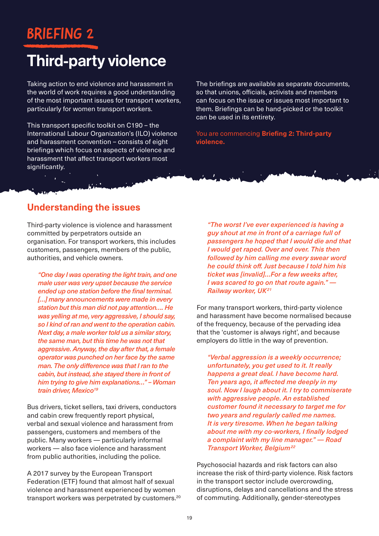## BRIEFING 2

# Third-party violence

Taking action to end violence and harassment in the world of work requires a good understanding of the most important issues for transport workers, particularly for women transport workers.

This transport specific toolkit on C190 – the International Labour Organization's (ILO) violence and harassment convention – consists of eight briefings which focus on aspects of violence and harassment that affect transport workers most significantly.

The briefings are available as separate documents, so that unions, officials, activists and members can focus on the issue or issues most important to them. Briefings can be hand-picked or the toolkit can be used in its entirety.

You are commencing **Briefing 2: Third-party violence.**

### **Understanding the issues**

Third-party violence is violence and harassment committed by perpetrators outside an organisation. For transport workers, this includes customers, passengers, members of the public, authorities, and vehicle owners.

*"One day I was operating the light train, and one male user was very upset because the service ended up one station before the final terminal. […] many announcements were made in every station but this man did not pay attention…. He was yelling at me, very aggressive, I should say, so I kind of ran and went to the operation cabin. Next day, a male worker told us a similar story, the same man, but this time he was not that aggressive. Anyway, the day after that, a female operator was punched on her face by the same man. The only difference was that I ran to the cabin, but instead, she stayed there in front of him trying to give him explanations…" – Woman train driver, Mexico19*

Bus drivers, ticket sellers, taxi drivers, conductors and cabin crew frequently report physical, verbal and sexual violence and harassment from passengers, customers and members of the public. Many workers — particularly informal workers — also face violence and harassment from public authorities, including the police.

A 2017 survey by the European Transport Federation (ETF) found that almost half of sexual violence and harassment experienced by women transport workers was perpetrated by customers.<sup>20</sup>

*"The worst I've ever experienced is having a guy shout at me in front of a carriage full of passengers he hoped that I would die and that I would get raped. Over and over. This then followed by him calling me every swear word he could think off. Just because I told him his ticket was [invalid]…For a few weeks after, I was scared to go on that route again." — Railway worker, UK21*

For many transport workers, third-party violence and harassment have become normalised because of the frequency, because of the pervading idea that the 'customer is always right', and because employers do little in the way of prevention.

*"Verbal aggression is a weekly occurrence; unfortunately, you get used to it. It really happens a great deal. I have become hard. Ten years ago, it affected me deeply in my soul. Now I laugh about it. I try to commiserate with aggressive people. An established customer found it necessary to target me for two years and regularly called me names. It is very tiresome. When he began talking about me with my co-workers, I finally lodged a complaint with my line manager." — Road Transport Worker, Belgium22*

Psychosocial hazards and risk factors can also increase the risk of third-party violence. Risk factors in the transport sector include overcrowding, disruptions, delays and cancellations and the stress of commuting. Additionally, gender-stereotypes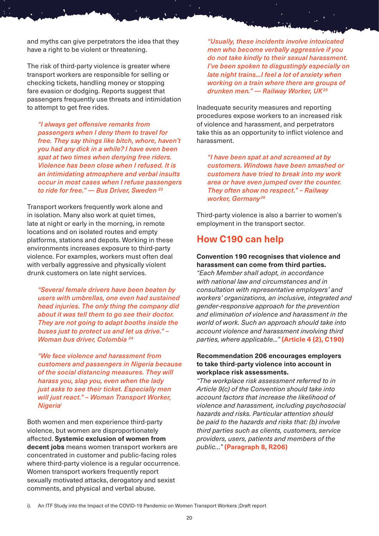and myths can give perpetrators the idea that they have a right to be violent or threatening.

The risk of third-party violence is greater where transport workers are responsible for selling or checking tickets, handling money or stopping fare evasion or dodging. Reports suggest that passengers frequently use threats and intimidation to attempt to get free rides.

*"I always get offensive remarks from passengers when I deny them to travel for free. They say things like bitch, whore, haven't you had any dick in a while? I have even been spat at two times when denying free riders. Violence has been close when I refused. It is an intimidating atmosphere and verbal insults occur in most cases when I refuse passengers to ride for free." — Bus Driver, Sweden 23*

Transport workers frequently work alone and in isolation. Many also work at quiet times, late at night or early in the morning, in remote locations and on isolated routes and empty platforms, stations and depots. Working in these environments increases exposure to third-party violence. For examples, workers must often deal with verbally aggressive and physically violent drunk customers on late night services.

*"Several female drivers have been beaten by users with umbrellas, one even had sustained head injuries. The only thing the company did about it was tell them to go see their doctor. They are not going to adapt booths inside the buses just to protect us and let us drive." – Woman bus driver, Colombia 24*

*"We face violence and harassment from customers and passengers in Nigeria because of the social distancing measures. They will harass you, slap you, even when the lady just asks to see their ticket. Especially men will just react." – Woman Transport Worker, Nigeriai*

Both women and men experience third-party violence, but women are disproportionately affected. **Systemic exclusion of women from decent jobs** means women transport workers are concentrated in customer and public-facing roles where third-party violence is a regular occurrence. Women transport workers frequently report sexually motivated attacks, derogatory and sexist comments, and physical and verbal abuse.

*"Usually, these incidents involve intoxicated men who become verbally aggressive if you do not take kindly to their sexual harassment. I've been spoken to disgustingly especially on late night trains...I feel a lot of anxiety when working on a train where there are groups of drunken men." — Railway Worker, UK25*

Inadequate security measures and reporting procedures expose workers to an increased risk of violence and harassment, and perpetrators take this as an opportunity to inflict violence and harassment.

*"I have been spat at and screamed at by customers. Windows have been smashed or customers have tried to break into my work area or have even jumped over the counter. They often show no respect." – Railway worker, Germany <sup>26</sup>*

Third-party violence is also a barrier to women's employment in the transport sector.

### **How C190 can help**

#### **Convention 190 recognises that violence and harassment can come from third parties.**

*"Each Member shall adopt, in accordance with national law and circumstances and in consultation with representative employers' and workers' organizations, an inclusive, integrated and gender-responsive approach for the prevention and elimination of violence and harassment in the world of work. Such an approach should take into account violence and harassment involving third parties, where applicable..."* **(Article 4 (2), C190)**

#### **Recommendation 206 encourages employers to take third-party violence into account in workplace risk assessments.**

*"The workplace risk assessment referred to in Article 9(c) of the Convention should take into account factors that increase the likelihood of violence and harassment, including psychosocial hazards and risks. Particular attention should be paid to the hazards and risks that: (b) involve third parties such as clients, customers, service providers, users, patients and members of the public…"* **(Paragraph 8, R206)**